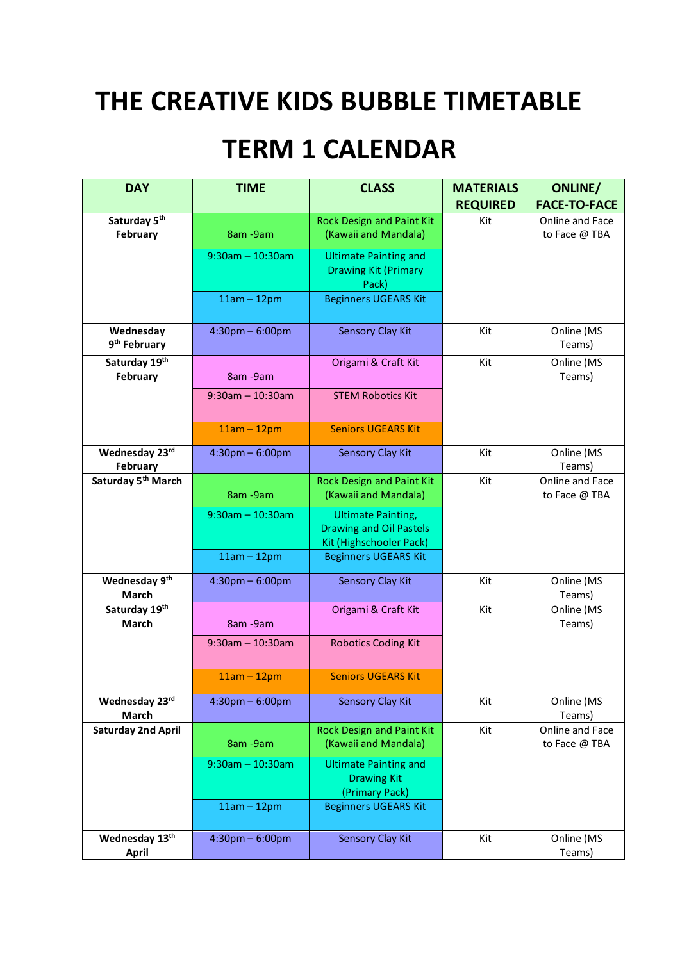## **THE CREATIVE KIDS BUBBLE TIMETABLE**

## **TERM 1 CALENDAR**

| <b>DAY</b>                     | <b>TIME</b>                       | <b>CLASS</b>                   | <b>MATERIALS</b> | <b>ONLINE/</b>      |
|--------------------------------|-----------------------------------|--------------------------------|------------------|---------------------|
|                                |                                   |                                | <b>REQUIRED</b>  | <b>FACE-TO-FACE</b> |
| Saturday 5 <sup>th</sup>       |                                   | Rock Design and Paint Kit      | Kit              | Online and Face     |
| February                       | 8am - 9am                         | (Kawaii and Mandala)           |                  | to Face @ TBA       |
|                                | $9:30$ am - 10:30am               | <b>Ultimate Painting and</b>   |                  |                     |
|                                |                                   | <b>Drawing Kit (Primary</b>    |                  |                     |
|                                |                                   | Pack)                          |                  |                     |
|                                | $11am - 12pm$                     | <b>Beginners UGEARS Kit</b>    |                  |                     |
|                                |                                   |                                |                  |                     |
| Wednesday                      | $4:30$ pm $-6:00$ pm              | <b>Sensory Clay Kit</b>        | Kit              | Online (MS          |
| 9 <sup>th</sup> February       |                                   |                                |                  | Teams)              |
| Saturday 19th                  |                                   | Origami & Craft Kit            | Kit              | Online (MS          |
| February                       | 8am - 9am                         |                                |                  | Teams)              |
|                                | $9:30$ am - 10:30am               | <b>STEM Robotics Kit</b>       |                  |                     |
|                                |                                   |                                |                  |                     |
|                                | $11am - 12pm$                     | <b>Seniors UGEARS Kit</b>      |                  |                     |
| Wednesday 23rd                 | $4:30$ pm $-6:00$ pm              | <b>Sensory Clay Kit</b>        | Kit              | Online (MS          |
| <b>February</b>                |                                   |                                |                  | Teams)              |
| Saturday 5 <sup>th</sup> March |                                   | Rock Design and Paint Kit      | Kit              | Online and Face     |
|                                | 8am - 9am                         | (Kawaii and Mandala)           |                  | to Face @ TBA       |
|                                | $9:30$ am - 10:30am               | <b>Ultimate Painting,</b>      |                  |                     |
|                                |                                   | <b>Drawing and Oil Pastels</b> |                  |                     |
|                                |                                   | Kit (Highschooler Pack)        |                  |                     |
|                                | $11am - 12pm$                     | <b>Beginners UGEARS Kit</b>    |                  |                     |
| Wednesday 9th                  | $4:30$ pm $-6:00$ pm              | <b>Sensory Clay Kit</b>        | Kit              | Online (MS          |
| March                          |                                   |                                |                  | Teams)              |
| Saturday 19th                  |                                   | Origami & Craft Kit            | Kit              | Online (MS          |
| March                          | 8am - 9am                         |                                |                  | Teams)              |
|                                | $9:30$ am - 10:30am               | <b>Robotics Coding Kit</b>     |                  |                     |
|                                |                                   |                                |                  |                     |
|                                | $11am - 12pm$                     | <b>Seniors UGEARS Kit</b>      |                  |                     |
| Wednesday 23rd                 | $4:30 \text{pm} - 6:00 \text{pm}$ | <b>Sensory Clay Kit</b>        | Kit              | Online (MS          |
| March                          |                                   |                                |                  | Teams)              |
| <b>Saturday 2nd April</b>      |                                   | Rock Design and Paint Kit      | Kit              | Online and Face     |
|                                | 8am - 9am                         | (Kawaii and Mandala)           |                  | to Face @ TBA       |
|                                | $9:30$ am - 10:30am               | <b>Ultimate Painting and</b>   |                  |                     |
|                                |                                   | <b>Drawing Kit</b>             |                  |                     |
|                                |                                   | (Primary Pack)                 |                  |                     |
|                                | $11am - 12pm$                     | <b>Beginners UGEARS Kit</b>    |                  |                     |
|                                |                                   |                                |                  |                     |
| Wednesday 13th                 | $4:30$ pm $-6:00$ pm              | <b>Sensory Clay Kit</b>        | Kit              | Online (MS          |
| <b>April</b>                   |                                   |                                |                  | Teams)              |